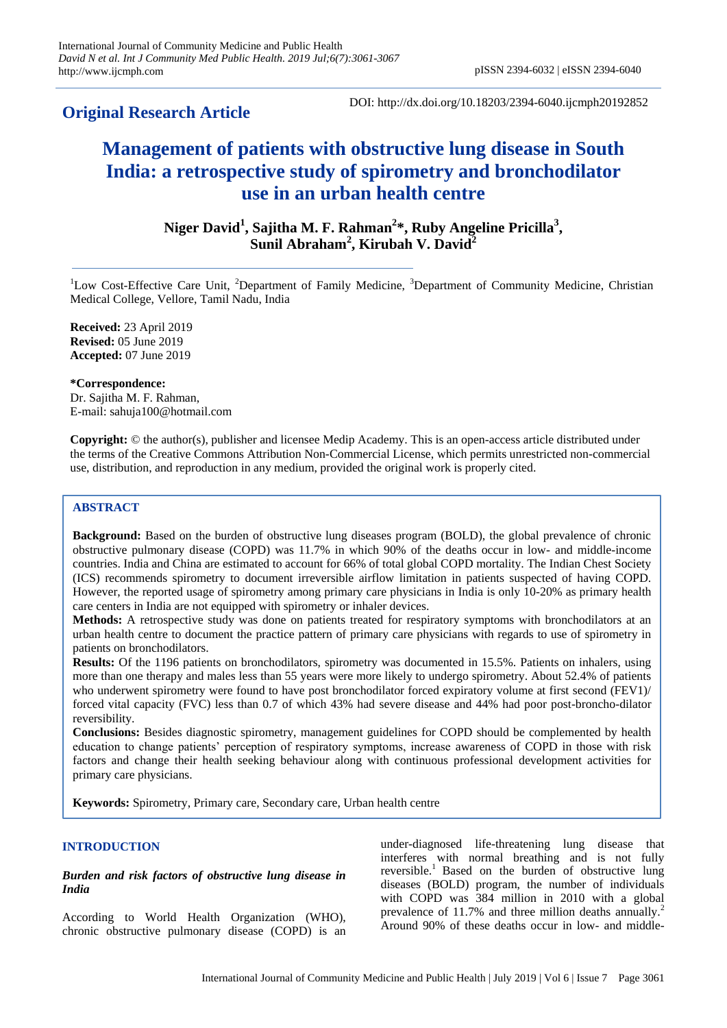# **Original Research Article**

DOI: http://dx.doi.org/10.18203/2394-6040.ijcmph20192852

# **Management of patients with obstructive lung disease in South India: a retrospective study of spirometry and bronchodilator use in an urban health centre**

**Niger David<sup>1</sup> , Sajitha M. F. Rahman<sup>2</sup> \*, Ruby Angeline Pricilla<sup>3</sup> , Sunil Abraham<sup>2</sup> , Kirubah V. David<sup>2</sup>**

<sup>1</sup>Low Cost-Effective Care Unit, <sup>2</sup>Department of Family Medicine, <sup>3</sup>Department of Community Medicine, Christian Medical College, Vellore, Tamil Nadu, India

**Received:** 23 April 2019 **Revised:** 05 June 2019 **Accepted:** 07 June 2019

**\*Correspondence:**

Dr. Sajitha M. F. Rahman, E-mail: sahuja100@hotmail.com

**Copyright:** © the author(s), publisher and licensee Medip Academy. This is an open-access article distributed under the terms of the Creative Commons Attribution Non-Commercial License, which permits unrestricted non-commercial use, distribution, and reproduction in any medium, provided the original work is properly cited.

# **ABSTRACT**

**Background:** Based on the burden of obstructive lung diseases program (BOLD), the global prevalence of chronic obstructive pulmonary disease (COPD) was 11.7% in which 90% of the deaths occur in low- and middle-income countries. India and China are estimated to account for 66% of total global COPD mortality. The Indian Chest Society (ICS) recommends spirometry to document irreversible airflow limitation in patients suspected of having COPD. However, the reported usage of spirometry among primary care physicians in India is only 10-20% as primary health care centers in India are not equipped with spirometry or inhaler devices.

**Methods:** A retrospective study was done on patients treated for respiratory symptoms with bronchodilators at an urban health centre to document the practice pattern of primary care physicians with regards to use of spirometry in patients on bronchodilators.

**Results:** Of the 1196 patients on bronchodilators, spirometry was documented in 15.5%. Patients on inhalers, using more than one therapy and males less than 55 years were more likely to undergo spirometry. About 52.4% of patients who underwent spirometry were found to have post bronchodilator forced expiratory volume at first second (FEV1)/ forced vital capacity (FVC) less than 0.7 of which 43% had severe disease and 44% had poor post-broncho-dilator reversibility.

**Conclusions:** Besides diagnostic spirometry, management guidelines for COPD should be complemented by health education to change patients' perception of respiratory symptoms, increase awareness of COPD in those with risk factors and change their health seeking behaviour along with continuous professional development activities for primary care physicians.

**Keywords:** Spirometry, Primary care, Secondary care, Urban health centre

# **INTRODUCTION**

#### *Burden and risk factors of obstructive lung disease in India*

According to World Health Organization (WHO), chronic obstructive pulmonary disease (COPD) is an under-diagnosed life-threatening lung disease that interferes with normal breathing and is not fully reversible.<sup>1</sup> Based on the burden of obstructive lung diseases (BOLD) program, the number of individuals with COPD was 384 million in 2010 with a global prevalence of 11.7% and three million deaths annually.<sup>2</sup> Around 90% of these deaths occur in low- and middle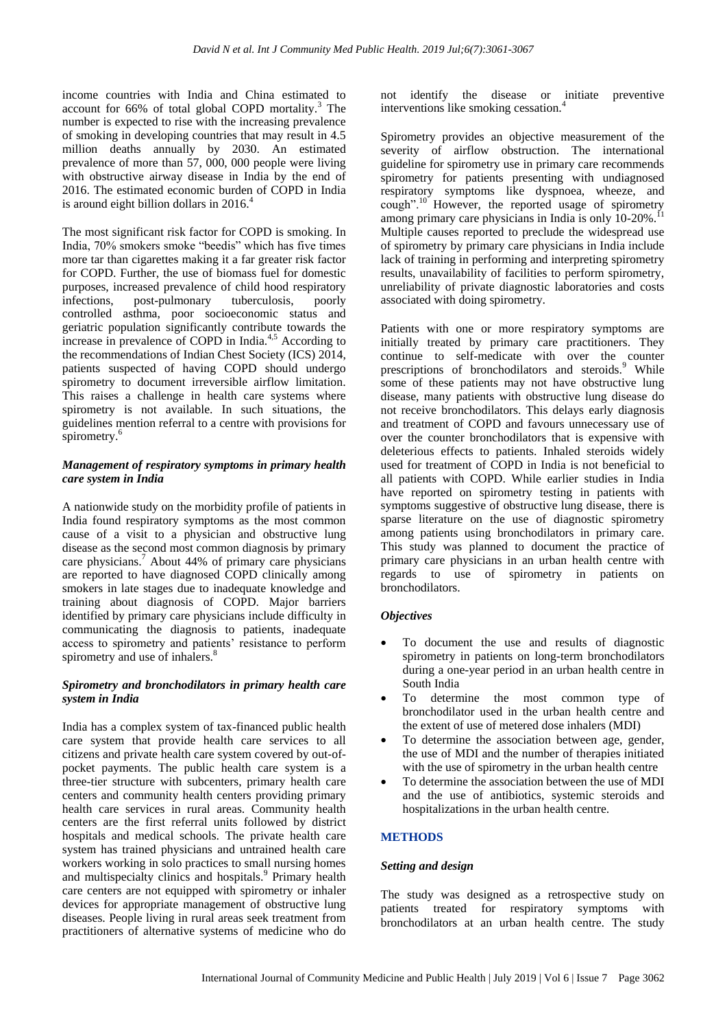income countries with India and China estimated to account for 66% of total global COPD mortality.<sup>3</sup> The number is expected to rise with the increasing prevalence of smoking in developing countries that may result in 4.5 million deaths annually by 2030. An estimated prevalence of more than  $\overline{57}$ , 000, 000 people were living with obstructive airway disease in India by the end of 2016. The estimated economic burden of COPD in India is around eight billion dollars in 2016.<sup>4</sup>

The most significant risk factor for COPD is smoking. In India, 70% smokers smoke "beedis" which has five times more tar than cigarettes making it a far greater risk factor for COPD. Further, the use of biomass fuel for domestic purposes, increased prevalence of child hood respiratory infections, post-pulmonary tuberculosis, poorly controlled asthma, poor socioeconomic status and geriatric population significantly contribute towards the increase in prevalence of COPD in India.<sup>4,5</sup> According to the recommendations of Indian Chest Society (ICS) 2014, patients suspected of having COPD should undergo spirometry to document irreversible airflow limitation. This raises a challenge in health care systems where spirometry is not available. In such situations, the guidelines mention referral to a centre with provisions for spirometry.<sup>6</sup>

#### *Management of respiratory symptoms in primary health care system in India*

A nationwide study on the morbidity profile of patients in India found respiratory symptoms as the most common cause of a visit to a physician and obstructive lung disease as the second most common diagnosis by primary care physicians.<sup>7</sup> About 44% of primary care physicians are reported to have diagnosed COPD clinically among smokers in late stages due to inadequate knowledge and training about diagnosis of COPD. Major barriers identified by primary care physicians include difficulty in communicating the diagnosis to patients, inadequate access to spirometry and patients' resistance to perform spirometry and use of inhalers.<sup>8</sup>

#### *Spirometry and bronchodilators in primary health care system in India*

India has a complex system of tax-financed public health care system that provide health care services to all citizens and private health care system covered by out-ofpocket payments. The public health care system is a three-tier structure with subcenters, primary health care centers and community health centers providing primary health care services in rural areas. Community health centers are the first referral units followed by district hospitals and medical schools. The private health care system has trained physicians and untrained health care workers working in solo practices to small nursing homes and multispecialty clinics and hospitals.<sup>9</sup> Primary health care centers are not equipped with spirometry or inhaler devices for appropriate management of obstructive lung diseases. People living in rural areas seek treatment from practitioners of alternative systems of medicine who do not identify the disease or initiate preventive interventions like smoking cessation.<sup>4</sup>

Spirometry provides an objective measurement of the severity of airflow obstruction. The international guideline for spirometry use in primary care recommends spirometry for patients presenting with undiagnosed respiratory symptoms like dyspnoea, wheeze, and cough". $^{10}$  However, the reported usage of spirometry among primary care physicians in India is only 10-20%.<sup>11</sup> Multiple causes reported to preclude the widespread use of spirometry by primary care physicians in India include lack of training in performing and interpreting spirometry results, unavailability of facilities to perform spirometry, unreliability of private diagnostic laboratories and costs associated with doing spirometry.

Patients with one or more respiratory symptoms are initially treated by primary care practitioners. They continue to self-medicate with over the counter prescriptions of bronchodilators and steroids.<sup>9</sup> While some of these patients may not have obstructive lung disease, many patients with obstructive lung disease do not receive bronchodilators. This delays early diagnosis and treatment of COPD and favours unnecessary use of over the counter bronchodilators that is expensive with deleterious effects to patients. Inhaled steroids widely used for treatment of COPD in India is not beneficial to all patients with COPD. While earlier studies in India have reported on spirometry testing in patients with symptoms suggestive of obstructive lung disease, there is sparse literature on the use of diagnostic spirometry among patients using bronchodilators in primary care. This study was planned to document the practice of primary care physicians in an urban health centre with regards to use of spirometry in patients on bronchodilators.

# *Objectives*

- To document the use and results of diagnostic spirometry in patients on long-term bronchodilators during a one-year period in an urban health centre in South India
- To determine the most common type of bronchodilator used in the urban health centre and the extent of use of metered dose inhalers (MDI)
- To determine the association between age, gender, the use of MDI and the number of therapies initiated with the use of spirometry in the urban health centre
- To determine the association between the use of MDI and the use of antibiotics, systemic steroids and hospitalizations in the urban health centre.

# **METHODS**

# *Setting and design*

The study was designed as a retrospective study on patients treated for respiratory symptoms with bronchodilators at an urban health centre. The study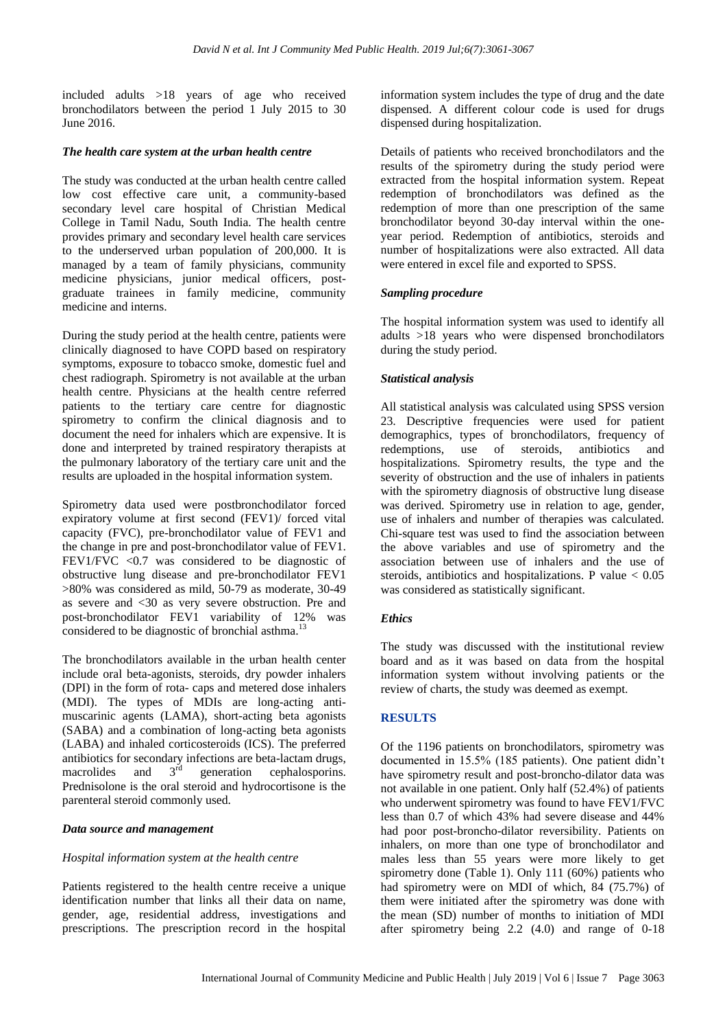included adults >18 years of age who received bronchodilators between the period 1 July 2015 to 30 June 2016.

# *The health care system at the urban health centre*

The study was conducted at the urban health centre called low cost effective care unit, a community-based secondary level care hospital of Christian Medical College in Tamil Nadu, South India. The health centre provides primary and secondary level health care services to the underserved urban population of 200,000. It is managed by a team of family physicians, community medicine physicians, junior medical officers, postgraduate trainees in family medicine, community medicine and interns.

During the study period at the health centre, patients were clinically diagnosed to have COPD based on respiratory symptoms, exposure to tobacco smoke, domestic fuel and chest radiograph. Spirometry is not available at the urban health centre. Physicians at the health centre referred patients to the tertiary care centre for diagnostic spirometry to confirm the clinical diagnosis and to document the need for inhalers which are expensive. It is done and interpreted by trained respiratory therapists at the pulmonary laboratory of the tertiary care unit and the results are uploaded in the hospital information system.

Spirometry data used were postbronchodilator forced expiratory volume at first second (FEV1)/ forced vital capacity (FVC), pre-bronchodilator value of FEV1 and the change in pre and post-bronchodilator value of FEV1. FEV1/FVC  $\langle 0.7 \rangle$  was considered to be diagnostic of obstructive lung disease and pre-bronchodilator FEV1 >80% was considered as mild, 50-79 as moderate, 30-49 as severe and <30 as very severe obstruction. Pre and post-bronchodilator FEV1 variability of 12% was considered to be diagnostic of bronchial asthma.<sup>13</sup>

The bronchodilators available in the urban health center include oral beta-agonists, steroids, dry powder inhalers (DPI) in the form of rota- caps and metered dose inhalers (MDI). The types of MDIs are long-acting antimuscarinic agents (LAMA), short-acting beta agonists (SABA) and a combination of long-acting beta agonists (LABA) and inhaled corticosteroids (ICS). The preferred antibiotics for secondary infections are beta-lactam drugs,<br>macrolides and  $3<sup>rd</sup>$  generation cephalosporins. macrolides and 3<sup>rd</sup> generation cephalosporins. Prednisolone is the oral steroid and hydrocortisone is the parenteral steroid commonly used.

# *Data source and management*

#### *Hospital information system at the health centre*

Patients registered to the health centre receive a unique identification number that links all their data on name, gender, age, residential address, investigations and prescriptions. The prescription record in the hospital information system includes the type of drug and the date dispensed. A different colour code is used for drugs dispensed during hospitalization.

Details of patients who received bronchodilators and the results of the spirometry during the study period were extracted from the hospital information system. Repeat redemption of bronchodilators was defined as the redemption of more than one prescription of the same bronchodilator beyond 30-day interval within the oneyear period. Redemption of antibiotics, steroids and number of hospitalizations were also extracted. All data were entered in excel file and exported to SPSS.

# *Sampling procedure*

The hospital information system was used to identify all adults >18 years who were dispensed bronchodilators during the study period.

# *Statistical analysis*

All statistical analysis was calculated using SPSS version 23. Descriptive frequencies were used for patient demographics, types of bronchodilators, frequency of redemptions, use of steroids, antibiotics and hospitalizations. Spirometry results, the type and the severity of obstruction and the use of inhalers in patients with the spirometry diagnosis of obstructive lung disease was derived. Spirometry use in relation to age, gender, use of inhalers and number of therapies was calculated. Chi-square test was used to find the association between the above variables and use of spirometry and the association between use of inhalers and the use of steroids, antibiotics and hospitalizations. P value  $< 0.05$ was considered as statistically significant.

# *Ethics*

The study was discussed with the institutional review board and as it was based on data from the hospital information system without involving patients or the review of charts, the study was deemed as exempt.

# **RESULTS**

Of the 1196 patients on bronchodilators, spirometry was documented in 15.5% (185 patients). One patient didn't have spirometry result and post-broncho-dilator data was not available in one patient. Only half (52.4%) of patients who underwent spirometry was found to have FEV1/FVC less than 0.7 of which 43% had severe disease and 44% had poor post-broncho-dilator reversibility. Patients on inhalers, on more than one type of bronchodilator and males less than 55 years were more likely to get spirometry done (Table 1). Only 111 (60%) patients who had spirometry were on MDI of which, 84 (75.7%) of them were initiated after the spirometry was done with the mean (SD) number of months to initiation of MDI after spirometry being 2.2 (4.0) and range of 0-18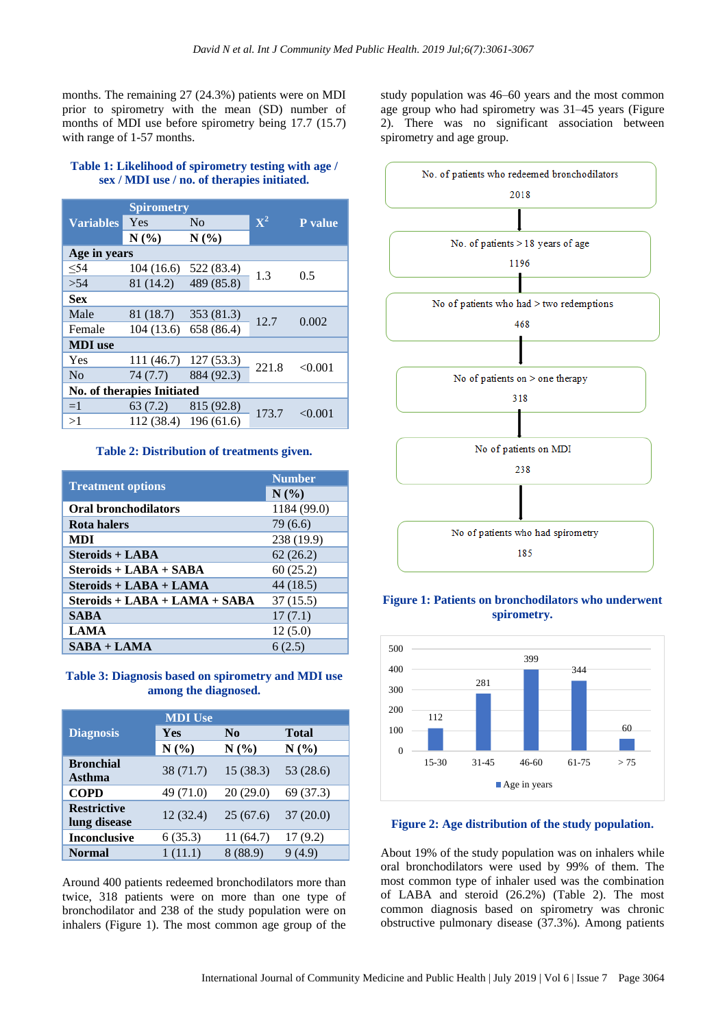months. The remaining 27 (24.3%) patients were on MDI prior to spirometry with the mean (SD) number of months of MDI use before spirometry being 17.7 (15.7) with range of 1-57 months.

#### **Table 1: Likelihood of spirometry testing with age / sex / MDI use / no. of therapies initiated.**

|                            | <b>Spirometry</b> |                       |                | <b>P</b> value |  |  |  |
|----------------------------|-------------------|-----------------------|----------------|----------------|--|--|--|
| <b>Variables</b>           | Yes               | N <sub>0</sub>        | $\mathbf{X}^2$ |                |  |  |  |
|                            | N(%)              | N(%)                  |                |                |  |  |  |
| Age in years               |                   |                       |                |                |  |  |  |
| < 54                       | 104(16.6)         | 522 (83.4)            | 1.3            | 0.5            |  |  |  |
| >54                        | 81 (14.2)         | 489 (85.8)            |                |                |  |  |  |
| <b>Sex</b>                 |                   |                       |                |                |  |  |  |
| Male                       | 81 (18.7)         | 353 (81.3)            | 12.7           | 0.002          |  |  |  |
| Female                     |                   | 104 (13.6) 658 (86.4) |                |                |  |  |  |
| <b>MDI</b> use             |                   |                       |                |                |  |  |  |
| Yes                        | 111 (46.7)        | 127 (53.3)            | 221.8          | < 0.001        |  |  |  |
| N <sub>0</sub>             | 74(7.7)           | 884 (92.3)            |                |                |  |  |  |
| No. of therapies Initiated |                   |                       |                |                |  |  |  |
| $=1$                       | 63 (7.2)          | 815 (92.8)            | 173.7          | < 0.001        |  |  |  |
| >1                         | 112 (38.4)        | 196(61.6)             |                |                |  |  |  |

#### **Table 2: Distribution of treatments given.**

|                               | <b>Number</b> |  |
|-------------------------------|---------------|--|
| <b>Treatment options</b>      | N(%)          |  |
| <b>Oral bronchodilators</b>   | 1184 (99.0)   |  |
| <b>Rota halers</b>            | 79 (6.6)      |  |
| <b>MDI</b>                    | 238 (19.9)    |  |
| Steroids + LABA               | 62(26.2)      |  |
| Steroids + LABA + SABA        | 60(25.2)      |  |
| Steroids + LABA + LAMA        | 44 (18.5)     |  |
| Steroids + LABA + LAMA + SABA | 37(15.5)      |  |
| <b>SABA</b>                   | 17(7.1)       |  |
| <b>LAMA</b>                   | 12(5.0)       |  |
| $SABA + LAMA$                 | 6(2.5)        |  |

### **Table 3: Diagnosis based on spirometry and MDI use among the diagnosed.**

|                                    | <b>MDI</b> Use |          |           |  |
|------------------------------------|----------------|----------|-----------|--|
| <b>Diagnosis</b>                   | Yes            | $\bf No$ | Total     |  |
|                                    | N(%)           | N(%)     | N(%)      |  |
| <b>Bronchial</b><br><b>Asthma</b>  | 38 (71.7)      | 15(38.3) | 53 (28.6) |  |
| <b>COPD</b>                        | 49 (71.0)      | 20(29.0) | 69 (37.3) |  |
| <b>Restrictive</b><br>lung disease | 12(32.4)       | 25(67.6) | 37(20.0)  |  |
| <b>Inconclusive</b>                | 6(35.3)        | 11(64.7) | 17(9.2)   |  |
| <b>Normal</b>                      | 1(11.1)        | 8(88.9)  | 9(4.9)    |  |

Around 400 patients redeemed bronchodilators more than twice, 318 patients were on more than one type of bronchodilator and 238 of the study population were on inhalers (Figure 1). The most common age group of the

study population was 46–60 years and the most common age group who had spirometry was 31–45 years (Figure 2). There was no significant association between spirometry and age group.



# **Figure 1: Patients on bronchodilators who underwent spirometry.**



#### **Figure 2: Age distribution of the study population.**

About 19% of the study population was on inhalers while oral bronchodilators were used by 99% of them. The most common type of inhaler used was the combination of LABA and steroid (26.2%) (Table 2). The most common diagnosis based on spirometry was chronic obstructive pulmonary disease (37.3%). Among patients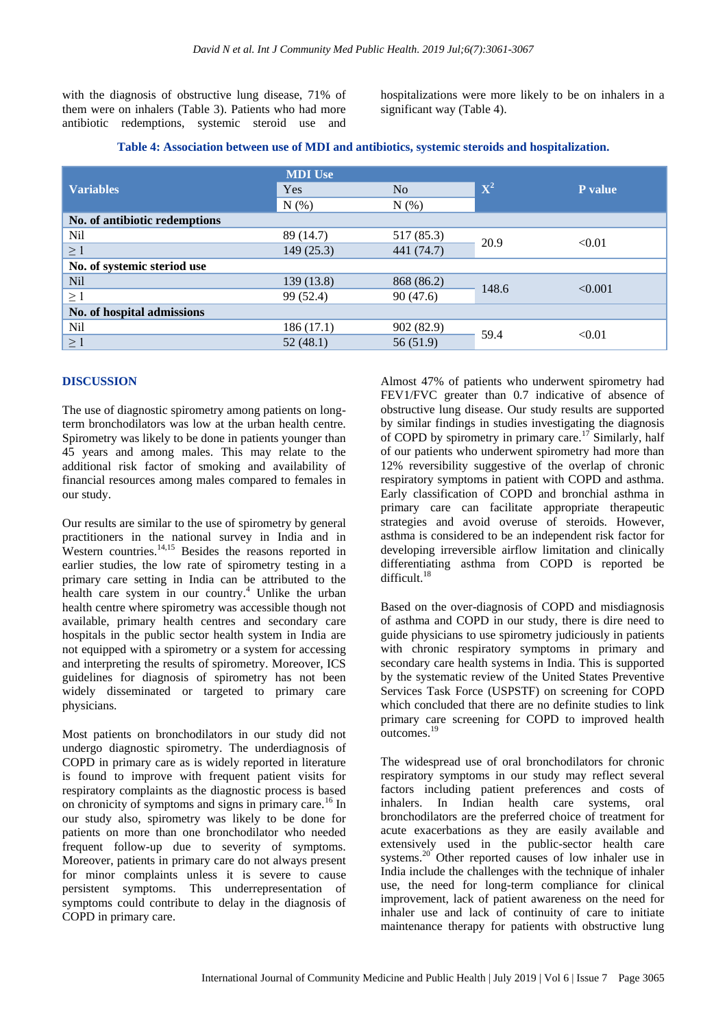with the diagnosis of obstructive lung disease, 71% of them were on inhalers (Table 3). Patients who had more antibiotic redemptions, systemic steroid use and hospitalizations were more likely to be on inhalers in a significant way (Table 4).

|                               | <b>MDI</b> Use |            |             |         |
|-------------------------------|----------------|------------|-------------|---------|
| <b>Variables</b>              | Yes            | No         | ${\bf X}^2$ | P value |
|                               | N(% )          | N(% )      |             |         |
| No. of antibiotic redemptions |                |            |             |         |
| Nil                           | 89 (14.7)      | 517 (85.3) | 20.9        | < 0.01  |
| $\geq 1$                      | 149(25.3)      | 441 (74.7) |             |         |
| No. of systemic steriod use   |                |            |             |         |
| Nil                           | 139(13.8)      | 868 (86.2) | 148.6       | < 0.001 |
| $\geq$ 1                      | 99 (52.4)      | 90(47.6)   |             |         |
| No. of hospital admissions    |                |            |             |         |
| Nil                           | 186(17.1)      | 902 (82.9) | 59.4        | < 0.01  |
| $\geq 1$                      | 52(48.1)       | 56 (51.9)  |             |         |

#### **Table 4: Association between use of MDI and antibiotics, systemic steroids and hospitalization.**

#### **DISCUSSION**

The use of diagnostic spirometry among patients on longterm bronchodilators was low at the urban health centre. Spirometry was likely to be done in patients younger than 45 years and among males. This may relate to the additional risk factor of smoking and availability of financial resources among males compared to females in our study.

Our results are similar to the use of spirometry by general practitioners in the national survey in India and in Western countries. $14,15$  Besides the reasons reported in earlier studies, the low rate of spirometry testing in a primary care setting in India can be attributed to the health care system in our country.<sup>4</sup> Unlike the urban health centre where spirometry was accessible though not available, primary health centres and secondary care hospitals in the public sector health system in India are not equipped with a spirometry or a system for accessing and interpreting the results of spirometry. Moreover, ICS guidelines for diagnosis of spirometry has not been widely disseminated or targeted to primary care physicians.

Most patients on bronchodilators in our study did not undergo diagnostic spirometry. The underdiagnosis of COPD in primary care as is widely reported in literature is found to improve with frequent patient visits for respiratory complaints as the diagnostic process is based on chronicity of symptoms and signs in primary care.<sup>16</sup> In our study also, spirometry was likely to be done for patients on more than one bronchodilator who needed frequent follow-up due to severity of symptoms. Moreover, patients in primary care do not always present for minor complaints unless it is severe to cause persistent symptoms. This underrepresentation of symptoms could contribute to delay in the diagnosis of COPD in primary care.

Almost 47% of patients who underwent spirometry had FEV1/FVC greater than 0.7 indicative of absence of obstructive lung disease. Our study results are supported by similar findings in studies investigating the diagnosis of COPD by spirometry in primary care.<sup>17</sup> Similarly, half of our patients who underwent spirometry had more than 12% reversibility suggestive of the overlap of chronic respiratory symptoms in patient with COPD and asthma. Early classification of COPD and bronchial asthma in primary care can facilitate appropriate therapeutic strategies and avoid overuse of steroids. However, asthma is considered to be an independent risk factor for developing irreversible airflow limitation and clinically differentiating asthma from COPD is reported be difficult.<sup>18</sup>

Based on the over-diagnosis of COPD and misdiagnosis of asthma and COPD in our study, there is dire need to guide physicians to use spirometry judiciously in patients with chronic respiratory symptoms in primary and secondary care health systems in India. This is supported by the systematic review of the United States Preventive Services Task Force (USPSTF) on screening for COPD which concluded that there are no definite studies to link primary care screening for COPD to improved health outcomes.<sup>19</sup>

The widespread use of oral bronchodilators for chronic respiratory symptoms in our study may reflect several factors including patient preferences and costs of inhalers. In Indian health care systems, oral bronchodilators are the preferred choice of treatment for acute exacerbations as they are easily available and extensively used in the public-sector health care systems.<sup>20</sup> Other reported causes of low inhaler use in India include the challenges with the technique of inhaler use, the need for long-term compliance for clinical improvement, lack of patient awareness on the need for inhaler use and lack of continuity of care to initiate maintenance therapy for patients with obstructive lung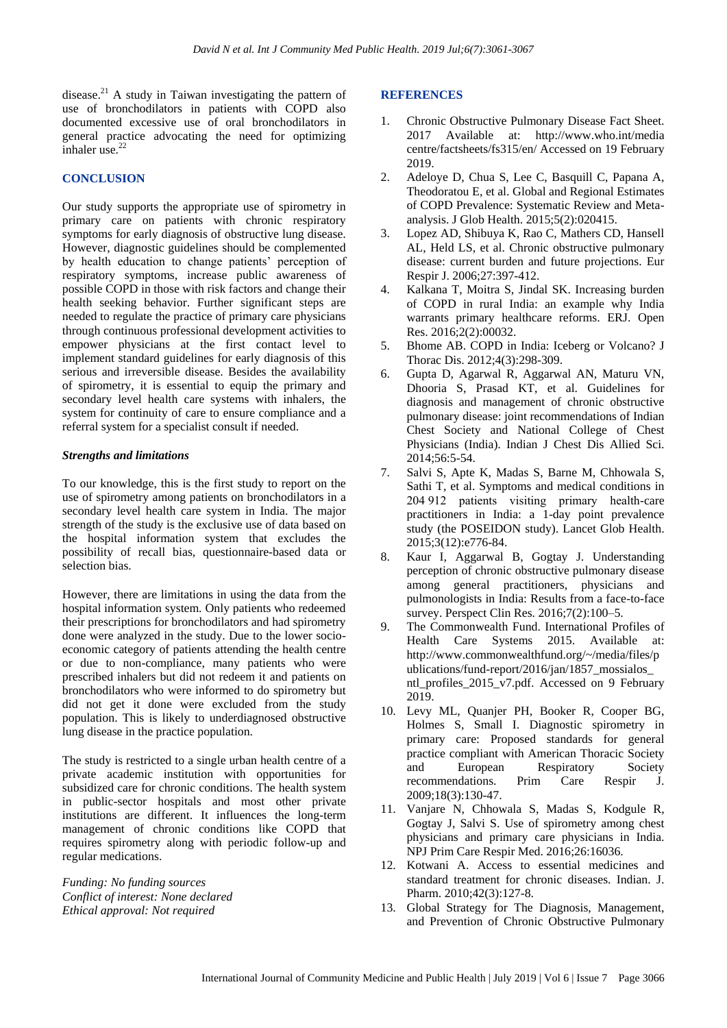disease.<sup>21</sup> A study in Taiwan investigating the pattern of use of bronchodilators in patients with COPD also documented excessive use of oral bronchodilators in general practice advocating the need for optimizing inhaler use.<sup>22</sup>

#### **CONCLUSION**

Our study supports the appropriate use of spirometry in primary care on patients with chronic respiratory symptoms for early diagnosis of obstructive lung disease. However, diagnostic guidelines should be complemented by health education to change patients' perception of respiratory symptoms, increase public awareness of possible COPD in those with risk factors and change their health seeking behavior. Further significant steps are needed to regulate the practice of primary care physicians through continuous professional development activities to empower physicians at the first contact level to implement standard guidelines for early diagnosis of this serious and irreversible disease. Besides the availability of spirometry, it is essential to equip the primary and secondary level health care systems with inhalers, the system for continuity of care to ensure compliance and a referral system for a specialist consult if needed.

#### *Strengths and limitations*

To our knowledge, this is the first study to report on the use of spirometry among patients on bronchodilators in a secondary level health care system in India. The major strength of the study is the exclusive use of data based on the hospital information system that excludes the possibility of recall bias, questionnaire-based data or selection bias.

However, there are limitations in using the data from the hospital information system. Only patients who redeemed their prescriptions for bronchodilators and had spirometry done were analyzed in the study. Due to the lower socioeconomic category of patients attending the health centre or due to non-compliance, many patients who were prescribed inhalers but did not redeem it and patients on bronchodilators who were informed to do spirometry but did not get it done were excluded from the study population. This is likely to underdiagnosed obstructive lung disease in the practice population.

The study is restricted to a single urban health centre of a private academic institution with opportunities for subsidized care for chronic conditions. The health system in public-sector hospitals and most other private institutions are different. It influences the long-term management of chronic conditions like COPD that requires spirometry along with periodic follow-up and regular medications.

*Funding: No funding sources Conflict of interest: None declared Ethical approval: Not required*

### **REFERENCES**

- 1. Chronic Obstructive Pulmonary Disease Fact Sheet. 2017 Available at: http://www.who.int/media centre/factsheets/fs315/en/ Accessed on 19 February 2019.
- 2. Adeloye D, Chua S, Lee C, Basquill C, Papana A, Theodoratou E, et al. Global and Regional Estimates of COPD Prevalence: Systematic Review and Metaanalysis. J Glob Health. 2015;5(2):020415.
- 3. Lopez AD, Shibuya K, Rao C, Mathers CD, Hansell AL, Held LS, et al. Chronic obstructive pulmonary disease: current burden and future projections. Eur Respir J. 2006;27:397-412.
- 4. Kalkana T, Moitra S, Jindal SK. Increasing burden of COPD in rural India: an example why India warrants primary healthcare reforms. ERJ. Open Res. 2016;2(2):00032.
- 5. Bhome AB. COPD in India: Iceberg or Volcano? J Thorac Dis. 2012;4(3):298-309.
- 6. Gupta D, Agarwal R, Aggarwal AN, Maturu VN, Dhooria S, Prasad KT, et al. Guidelines for diagnosis and management of chronic obstructive pulmonary disease: joint recommendations of Indian Chest Society and National College of Chest Physicians (India). Indian J Chest Dis Allied Sci. 2014;56:5-54.
- 7. Salvi S, Apte K, Madas S, Barne M, Chhowala S, Sathi T, et al. Symptoms and medical conditions in 204 912 patients visiting primary health-care practitioners in India: a 1-day point prevalence study (the POSEIDON study). Lancet Glob Health. 2015;3(12):e776-84.
- 8. Kaur I, Aggarwal B, Gogtay J. Understanding perception of chronic obstructive pulmonary disease among general practitioners, physicians and pulmonologists in India: Results from a face-to-face survey. Perspect Clin Res. 2016;7(2):100–5.
- 9. The Commonwealth Fund. International Profiles of Health Care Systems 2015. Available at: http://www.commonwealthfund.org/~/media/files/p ublications/fund-report/2016/jan/1857\_mossialos\_ ntl\_profiles\_2015\_v7.pdf. Accessed on 9 February 2019.
- 10. Levy ML, Quanjer PH, Booker R, Cooper BG, Holmes S, Small I. Diagnostic spirometry in primary care: Proposed standards for general practice compliant with American Thoracic Society and European Respiratory Society recommendations. Prim Care Respir J. 2009;18(3):130-47.
- 11. Vanjare N, Chhowala S, Madas S, Kodgule R, Gogtay J, Salvi S. Use of spirometry among chest physicians and primary care physicians in India. NPJ Prim Care Respir Med. 2016;26:16036.
- 12. Kotwani A. Access to essential medicines and standard treatment for chronic diseases. Indian. J. Pharm. 2010;42(3):127-8.
- 13. Global Strategy for The Diagnosis, Management, and Prevention of Chronic Obstructive Pulmonary